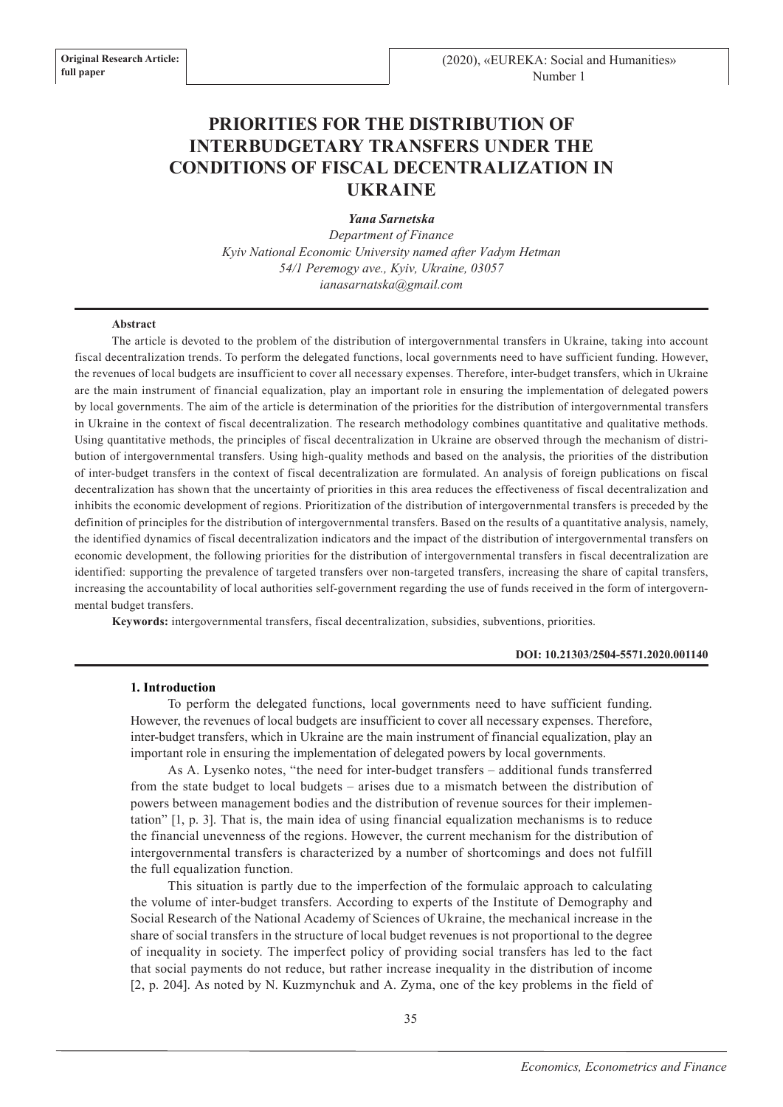# **PRIORITIES FOR THE DISTRIBUTION OF INTERBUDGETARY TRANSFERS UNDER THE CONDITIONS OF FISCAL DECENTRALIZATION IN UKRAINE**

*Yana Sarnetska* 

*Department of Finance Kyiv National Economic University named after Vadym Hetman 54/1 Peremogy ave., Kyiv, Ukraine, 03057 ianasarnatska@gmail.com*

#### **Abstract**

The article is devoted to the problem of the distribution of intergovernmental transfers in Ukraine, taking into account fiscal decentralization trends. To perform the delegated functions, local governments need to have sufficient funding. However, the revenues of local budgets are insufficient to cover all necessary expenses. Therefore, inter-budget transfers, which in Ukraine are the main instrument of financial equalization, play an important role in ensuring the implementation of delegated powers by local governments. The aim of the article is determination of the priorities for the distribution of intergovernmental transfers in Ukraine in the context of fiscal decentralization. The research methodology combines quantitative and qualitative methods. Using quantitative methods, the principles of fiscal decentralization in Ukraine are observed through the mechanism of distribution of intergovernmental transfers. Using high-quality methods and based on the analysis, the priorities of the distribution of inter-budget transfers in the context of fiscal decentralization are formulated. An analysis of foreign publications on fiscal decentralization has shown that the uncertainty of priorities in this area reduces the effectiveness of fiscal decentralization and inhibits the economic development of regions. Prioritization of the distribution of intergovernmental transfers is preceded by the definition of principles for the distribution of intergovernmental transfers. Based on the results of a quantitative analysis, namely, the identified dynamics of fiscal decentralization indicators and the impact of the distribution of intergovernmental transfers on economic development, the following priorities for the distribution of intergovernmental transfers in fiscal decentralization are identified: supporting the prevalence of targeted transfers over non-targeted transfers, increasing the share of capital transfers, increasing the accountability of local authorities self-government regarding the use of funds received in the form of intergovernmental budget transfers.

**Keywords:** intergovernmental transfers, fiscal decentralization, subsidies, subventions, priorities.

## **DOI: 10.21303/2504-5571.2020.001140**

## **1. Introduction**

To perform the delegated functions, local governments need to have sufficient funding. However, the revenues of local budgets are insufficient to cover all necessary expenses. Therefore, inter-budget transfers, which in Ukraine are the main instrument of financial equalization, play an important role in ensuring the implementation of delegated powers by local governments.

As A. Lysenko notes, "the need for inter-budget transfers – additional funds transferred from the state budget to local budgets – arises due to a mismatch between the distribution of powers between management bodies and the distribution of revenue sources for their implementation" [1, p. 3]. That is, the main idea of using financial equalization mechanisms is to reduce the financial unevenness of the regions. However, the current mechanism for the distribution of intergovernmental transfers is characterized by a number of shortcomings and does not fulfill the full equalization function.

This situation is partly due to the imperfection of the formulaic approach to calculating the volume of inter-budget transfers. According to experts of the Institute of Demography and Social Research of the National Academy of Sciences of Ukraine, the mechanical increase in the share of social transfers in the structure of local budget revenues is not proportional to the degree of inequality in society. The imperfect policy of providing social transfers has led to the fact that social payments do not reduce, but rather increase inequality in the distribution of income [2, p. 204]. As noted by N. Kuzmynchuk and A. Zyma, one of the key problems in the field of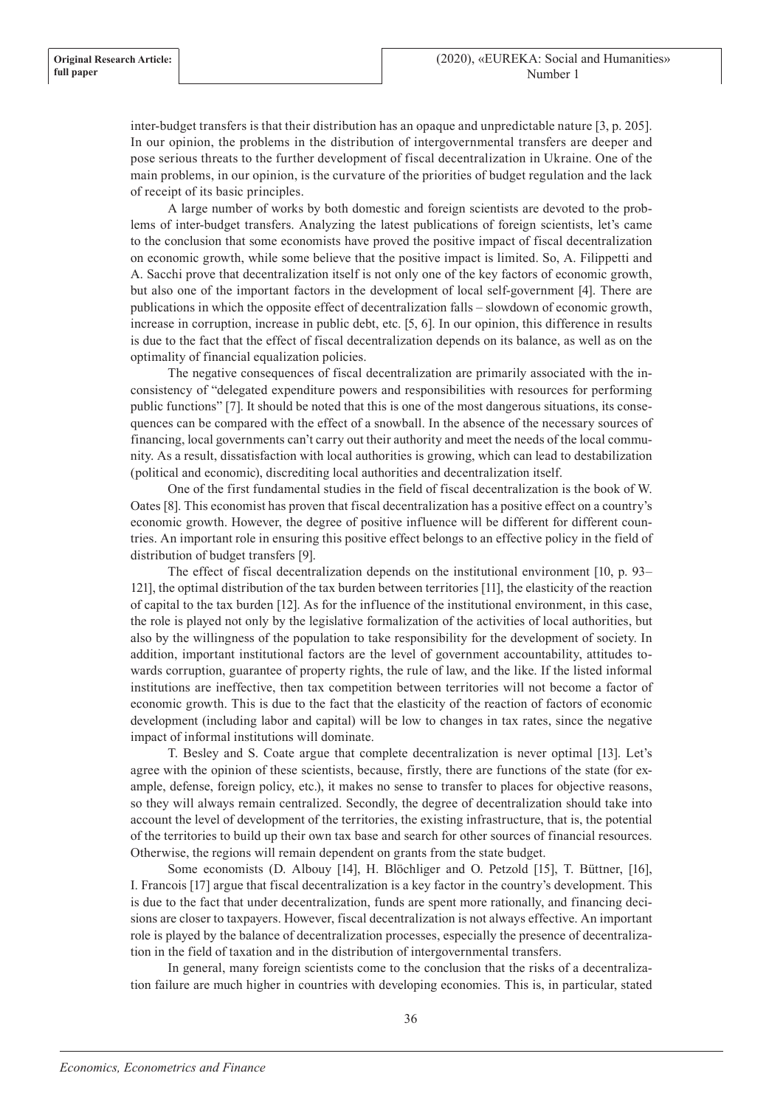inter-budget transfers is that their distribution has an opaque and unpredictable nature [3, p. 205]. In our opinion, the problems in the distribution of intergovernmental transfers are deeper and pose serious threats to the further development of fiscal decentralization in Ukraine. One of the main problems, in our opinion, is the curvature of the priorities of budget regulation and the lack of receipt of its basic principles.

A large number of works by both domestic and foreign scientists are devoted to the problems of inter-budget transfers. Analyzing the latest publications of foreign scientists, let's came to the conclusion that some economists have proved the positive impact of fiscal decentralization on economic growth, while some believe that the positive impact is limited. So, A. Filippetti and A. Sacchi prove that decentralization itself is not only one of the key factors of economic growth, but also one of the important factors in the development of local self-government [4]. There are publications in which the opposite effect of decentralization falls – slowdown of economic growth, increase in corruption, increase in public debt, etc. [5, 6]. In our opinion, this difference in results is due to the fact that the effect of fiscal decentralization depends on its balance, as well as on the optimality of financial equalization policies.

The negative consequences of fiscal decentralization are primarily associated with the inconsistency of "delegated expenditure powers and responsibilities with resources for performing public functions" [7]. It should be noted that this is one of the most dangerous situations, its consequences can be compared with the effect of a snowball. In the absence of the necessary sources of financing, local governments can't carry out their authority and meet the needs of the local community. As a result, dissatisfaction with local authorities is growing, which can lead to destabilization (political and economic), discrediting local authorities and decentralization itself.

One of the first fundamental studies in the field of fiscal decentralization is the book of W. Oates [8]. This economist has proven that fiscal decentralization has a positive effect on a country's economic growth. However, the degree of positive influence will be different for different countries. An important role in ensuring this positive effect belongs to an effective policy in the field of distribution of budget transfers [9].

The effect of fiscal decentralization depends on the institutional environment [10, p. 93– 121], the optimal distribution of the tax burden between territories [11], the elasticity of the reaction of capital to the tax burden [12]. As for the influence of the institutional environment, in this case, the role is played not only by the legislative formalization of the activities of local authorities, but also by the willingness of the population to take responsibility for the development of society. In addition, important institutional factors are the level of government accountability, attitudes towards corruption, guarantee of property rights, the rule of law, and the like. If the listed informal institutions are ineffective, then tax competition between territories will not become a factor of economic growth. This is due to the fact that the elasticity of the reaction of factors of economic development (including labor and capital) will be low to changes in tax rates, since the negative impact of informal institutions will dominate.

T. Besley and S. Coate argue that complete decentralization is never optimal [13]. Let's agree with the opinion of these scientists, because, firstly, there are functions of the state (for example, defense, foreign policy, etc.), it makes no sense to transfer to places for objective reasons, so they will always remain centralized. Secondly, the degree of decentralization should take into account the level of development of the territories, the existing infrastructure, that is, the potential of the territories to build up their own tax base and search for other sources of financial resources. Otherwise, the regions will remain dependent on grants from the state budget.

Some economists (D. Albouy [14], H. Blöchliger and O. Petzold [15], T. Büttner, [16], I. Francois [17] argue that fiscal decentralization is a key factor in the country's development. This is due to the fact that under decentralization, funds are spent more rationally, and financing decisions are closer to taxpayers. However, fiscal decentralization is not always effective. An important role is played by the balance of decentralization processes, especially the presence of decentralization in the field of taxation and in the distribution of intergovernmental transfers.

In general, many foreign scientists come to the conclusion that the risks of a decentralization failure are much higher in countries with developing economies. This is, in particular, stated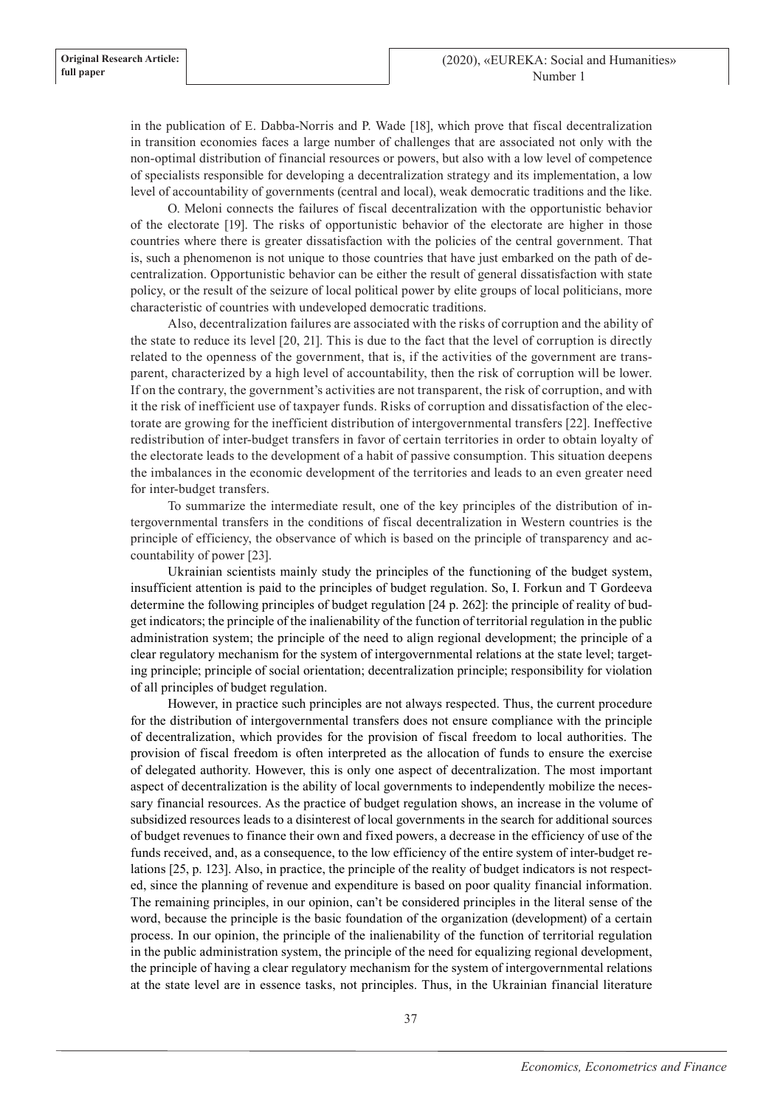in the publication of E. Dabba-Norris and P. Wade [18], which prove that fiscal decentralization in transition economies faces a large number of challenges that are associated not only with the non-optimal distribution of financial resources or powers, but also with a low level of competence of specialists responsible for developing a decentralization strategy and its implementation, a low level of accountability of governments (central and local), weak democratic traditions and the like.

O. Meloni connects the failures of fiscal decentralization with the opportunistic behavior of the electorate [19]. The risks of opportunistic behavior of the electorate are higher in those countries where there is greater dissatisfaction with the policies of the central government. That is, such a phenomenon is not unique to those countries that have just embarked on the path of decentralization. Opportunistic behavior can be either the result of general dissatisfaction with state policy, or the result of the seizure of local political power by elite groups of local politicians, more characteristic of countries with undeveloped democratic traditions.

Also, decentralization failures are associated with the risks of corruption and the ability of the state to reduce its level [20, 21]. This is due to the fact that the level of corruption is directly related to the openness of the government, that is, if the activities of the government are transparent, characterized by a high level of accountability, then the risk of corruption will be lower. If on the contrary, the government's activities are not transparent, the risk of corruption, and with it the risk of inefficient use of taxpayer funds. Risks of corruption and dissatisfaction of the electorate are growing for the inefficient distribution of intergovernmental transfers [22]. Ineffective redistribution of inter-budget transfers in favor of certain territories in order to obtain loyalty of the electorate leads to the development of a habit of passive consumption. This situation deepens the imbalances in the economic development of the territories and leads to an even greater need for inter-budget transfers.

To summarize the intermediate result, one of the key principles of the distribution of intergovernmental transfers in the conditions of fiscal decentralization in Western countries is the principle of efficiency, the observance of which is based on the principle of transparency and accountability of power [23].

Ukrainian scientists mainly study the principles of the functioning of the budget system, insufficient attention is paid to the principles of budget regulation. So, I. Forkun and T Gordeeva determine the following principles of budget regulation [24 p. 262]: the principle of reality of budget indicators; the principle of the inalienability of the function of territorial regulation in the public administration system; the principle of the need to align regional development; the principle of a clear regulatory mechanism for the system of intergovernmental relations at the state level; targeting principle; principle of social orientation; decentralization principle; responsibility for violation of all principles of budget regulation.

However, in practice such principles are not always respected. Thus, the current procedure for the distribution of intergovernmental transfers does not ensure compliance with the principle of decentralization, which provides for the provision of fiscal freedom to local authorities. The provision of fiscal freedom is often interpreted as the allocation of funds to ensure the exercise of delegated authority. However, this is only one aspect of decentralization. The most important aspect of decentralization is the ability of local governments to independently mobilize the necessary financial resources. As the practice of budget regulation shows, an increase in the volume of subsidized resources leads to a disinterest of local governments in the search for additional sources of budget revenues to finance their own and fixed powers, a decrease in the efficiency of use of the funds received, and, as a consequence, to the low efficiency of the entire system of inter-budget relations [25, p. 123]. Also, in practice, the principle of the reality of budget indicators is not respected, since the planning of revenue and expenditure is based on poor quality financial information. The remaining principles, in our opinion, can't be considered principles in the literal sense of the word, because the principle is the basic foundation of the organization (development) of a certain process. In our opinion, the principle of the inalienability of the function of territorial regulation in the public administration system, the principle of the need for equalizing regional development, the principle of having a clear regulatory mechanism for the system of intergovernmental relations at the state level are in essence tasks, not principles. Thus, in the Ukrainian financial literature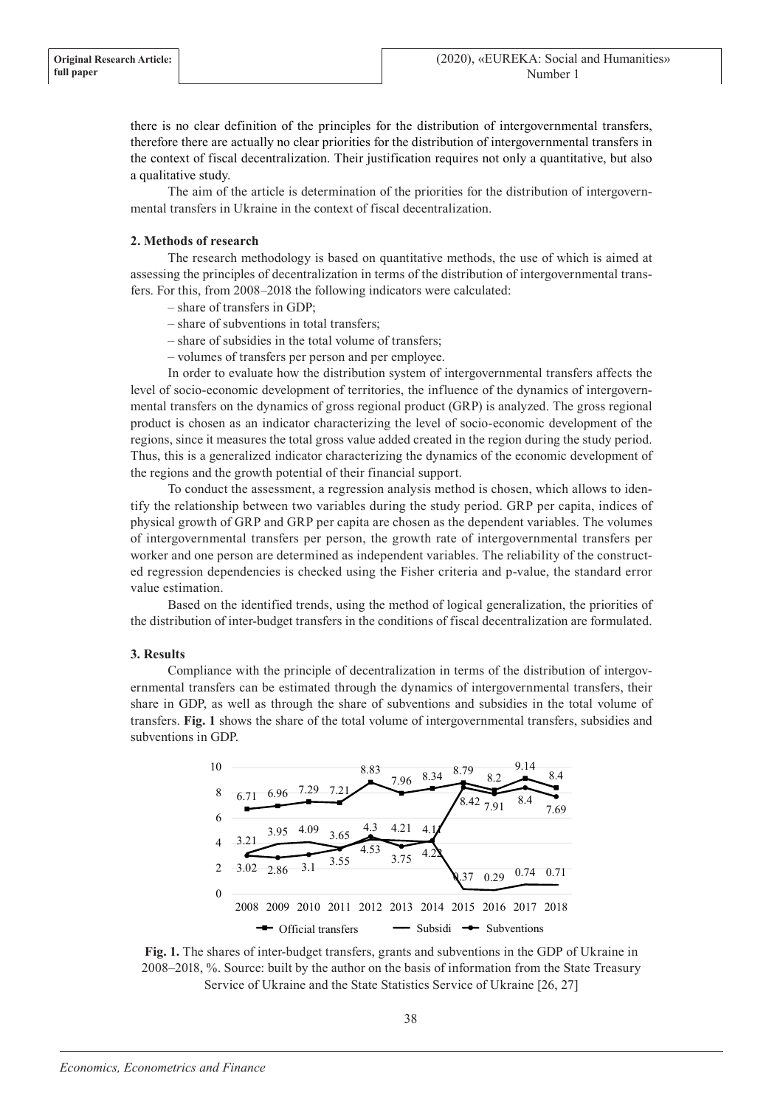there is no clear definition of the principles for the distribution of intergovernmental transfers, therefore there are actually no clear priorities for the distribution of intergovernmental transfers in the context of fiscal decentralization. Their justification requires not only a quantitative, but also a qualitative study.

The aim of the article is determination of the priorities for the distribution of intergovernmental transfers in Ukraine in the context of fiscal decentralization.

# **2. Methods of research**

The research methodology is based on quantitative methods, the use of which is aimed at assessing the principles of decentralization in terms of the distribution of intergovernmental transfers. For this, from 2008–2018 the following indicators were calculated:

- share of transfers in GDP;
- share of subventions in total transfers;
- share of subsidies in the total volume of transfers;
- volumes of transfers per person and per employee.

In order to evaluate how the distribution system of intergovernmental transfers affects the level of socio-economic development of territories, the influence of the dynamics of intergovernmental transfers on the dynamics of gross regional product (GRP) is analyzed. The gross regional product is chosen as an indicator characterizing the level of socio-economic development of the regions, since it measures the total gross value added created in the region during the study period. Thus, this is a generalized indicator characterizing the dynamics of the economic development of the regions and the growth potential of their financial support.

To conduct the assessment, a regression analysis method is chosen, which allows to identify the relationship between two variables during the study period. GRP per capita, indices of physical growth of GRP and GRP per capita are chosen as the dependent variables. The volumes of intergovernmental transfers per person, the growth rate of intergovernmental transfers per worker and one person are determined as independent variables. The reliability of the constructed regression dependencies is checked using the Fisher criteria and p-value, the standard error value estimation.

Based on the identified trends, using the method of logical generalization, the priorities of the distribution of inter-budget transfers in the conditions of fiscal decentralization are formulated.

# **3. Results**

Compliance with the principle of decentralization in terms of the distribution of intergovernmental transfers can be estimated through the dynamics of intergovernmental transfers, their share in GDP, as well as through the share of subventions and subsidies in the total volume of transfers. **Fig. 1** shows the share of the total volume of intergovernmental transfers, subsidies and subventions in GDP.



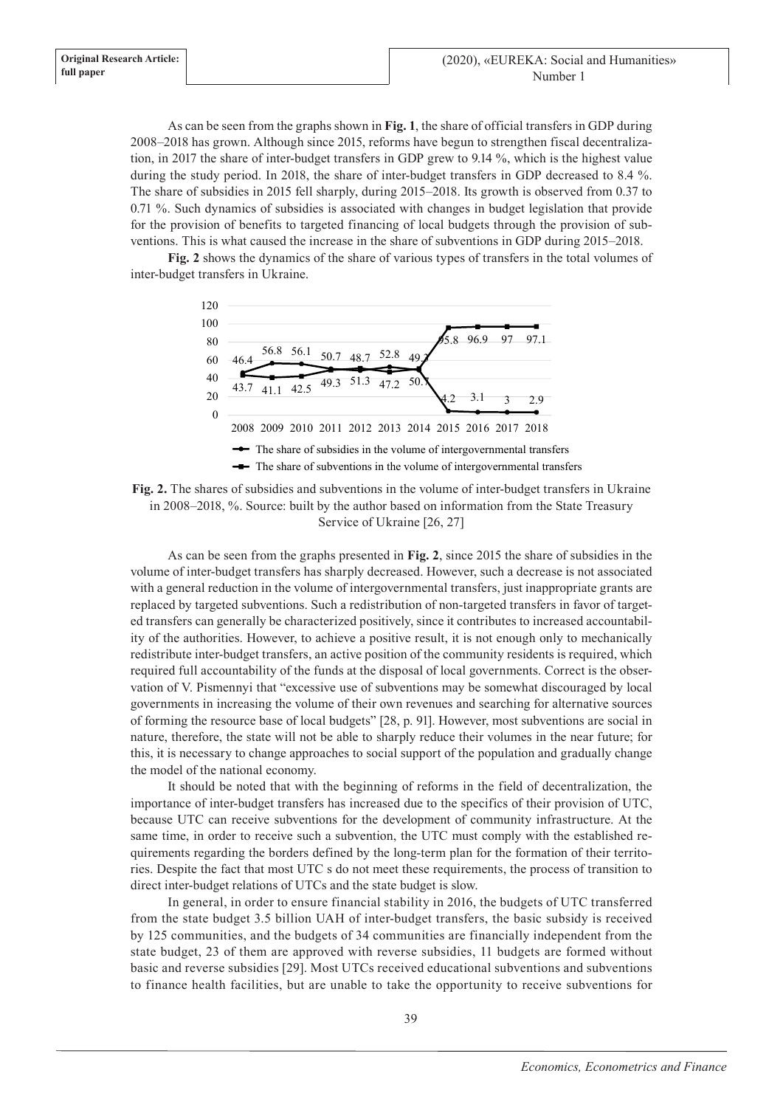As can be seen from the graphs shown in **Fig. 1**, the share of official transfers in GDP during 2008–2018 has grown. Although since 2015, reforms have begun to strengthen fiscal decentralization, in 2017 the share of inter-budget transfers in GDP grew to 9.14 %, which is the highest value during the study period. In 2018, the share of inter-budget transfers in GDP decreased to 8.4 %. The share of subsidies in 2015 fell sharply, during 2015–2018. Its growth is observed from 0.37 to 0.71 %. Such dynamics of subsidies is associated with changes in budget legislation that provide for the provision of benefits to targeted financing of local budgets through the provision of subventions. This is what caused the increase in the share of subventions in GDP during 2015–2018.

**Fig. 2** shows the dynamics of the share of various types of transfers in the total volumes of inter-budget transfers in Ukraine.





As can be seen from the graphs presented in **Fig. 2**, since 2015 the share of subsidies in the volume of inter-budget transfers has sharply decreased. However, such a decrease is not associated with a general reduction in the volume of intergovernmental transfers, just inappropriate grants are replaced by targeted subventions. Such a redistribution of non-targeted transfers in favor of targeted transfers can generally be characterized positively, since it contributes to increased accountability of the authorities. However, to achieve a positive result, it is not enough only to mechanically redistribute inter-budget transfers, an active position of the community residents is required, which required full accountability of the funds at the disposal of local governments. Correct is the observation of V. Pismennyi that "excessive use of subventions may be somewhat discouraged by local governments in increasing the volume of their own revenues and searching for alternative sources of forming the resource base of local budgets" [28, p. 91]. However, most subventions are social in nature, therefore, the state will not be able to sharply reduce their volumes in the near future; for this, it is necessary to change approaches to social support of the population and gradually change the model of the national economy.

It should be noted that with the beginning of reforms in the field of decentralization, the importance of inter-budget transfers has increased due to the specifics of their provision of UTC, because UTC can receive subventions for the development of community infrastructure. At the same time, in order to receive such a subvention, the UTC must comply with the established requirements regarding the borders defined by the long-term plan for the formation of their territories. Despite the fact that most UTC s do not meet these requirements, the process of transition to direct inter-budget relations of UTCs and the state budget is slow.

In general, in order to ensure financial stability in 2016, the budgets of UTC transferred from the state budget 3.5 billion UAH of inter-budget transfers, the basic subsidy is received by 125 communities, and the budgets of 34 communities are financially independent from the state budget, 23 of them are approved with reverse subsidies, 11 budgets are formed without basic and reverse subsidies [29]. Most UTCs received educational subventions and subventions to finance health facilities, but are unable to take the opportunity to receive subventions for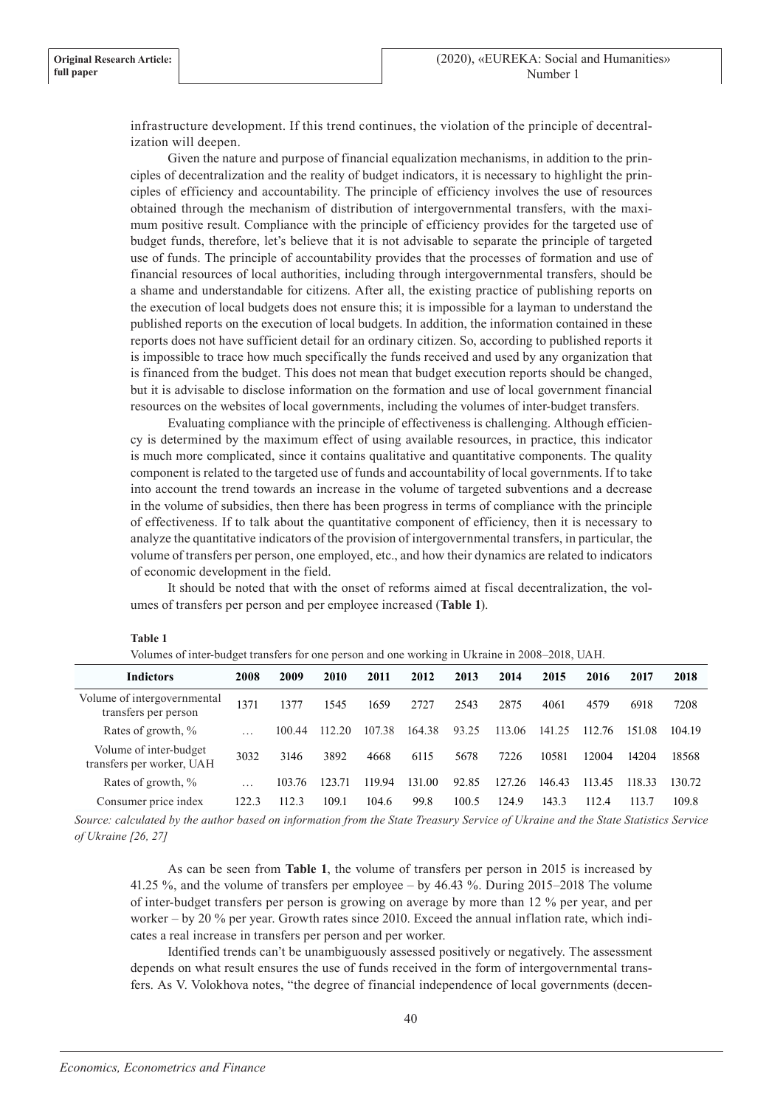infrastructure development. If this trend continues, the violation of the principle of decentralization will deepen.

Given the nature and purpose of financial equalization mechanisms, in addition to the principles of decentralization and the reality of budget indicators, it is necessary to highlight the principles of efficiency and accountability. The principle of efficiency involves the use of resources obtained through the mechanism of distribution of intergovernmental transfers, with the maximum positive result. Compliance with the principle of efficiency provides for the targeted use of budget funds, therefore, let's believe that it is not advisable to separate the principle of targeted use of funds. The principle of accountability provides that the processes of formation and use of financial resources of local authorities, including through intergovernmental transfers, should be a shame and understandable for citizens. After all, the existing practice of publishing reports on the execution of local budgets does not ensure this; it is impossible for a layman to understand the published reports on the execution of local budgets. In addition, the information contained in these reports does not have sufficient detail for an ordinary citizen. So, according to published reports it is impossible to trace how much specifically the funds received and used by any organization that is financed from the budget. This does not mean that budget execution reports should be changed, but it is advisable to disclose information on the formation and use of local government financial resources on the websites of local governments, including the volumes of inter-budget transfers.

Evaluating compliance with the principle of effectiveness is challenging. Although efficiency is determined by the maximum effect of using available resources, in practice, this indicator is much more complicated, since it contains qualitative and quantitative components. The quality component is related to the targeted use of funds and accountability of local governments. If to take into account the trend towards an increase in the volume of targeted subventions and a decrease in the volume of subsidies, then there has been progress in terms of compliance with the principle of effectiveness. If to talk about the quantitative component of efficiency, then it is necessary to analyze the quantitative indicators of the provision of intergovernmental transfers, in particular, the volume of transfers per person, one employed, etc., and how their dynamics are related to indicators of economic development in the field.

It should be noted that with the onset of reforms aimed at fiscal decentralization, the volumes of transfers per person and per employee increased (**Table 1**).

| Volumes of inter-budget transfers for one person and one working in Ukraine in 2008–2018, UAH. |                         |        |        |        |        |       |        |             |            |        |        |
|------------------------------------------------------------------------------------------------|-------------------------|--------|--------|--------|--------|-------|--------|-------------|------------|--------|--------|
| <b>Indictors</b>                                                                               | 2008                    | 2009   | 2010   | 2011   | 2012   | 2013  | 2014   | 2015        | 2016       | 2017   | 2018   |
| Volume of intergovernmental<br>transfers per person                                            | 1371                    | 1377   | 1545   | 1659   | 2727   | 2543  | 2875   | 4061        | 4579       | 6918   | 7208   |
| Rates of growth, %                                                                             | $\cdots$                | 100.44 | 112.20 | 107.38 | 164.38 | 93.25 | 113.06 | 141.<br>-25 | 112<br>-76 | 151.08 | 104.19 |
| Volume of inter-budget<br>transfers per worker, UAH                                            | 3032                    | 3146   | 3892   | 4668   | 6115   | 5678  | 7226   | 10581       | 12004      | 14204  | 18568  |
| Rates of growth, %                                                                             | $\cdot$ $\cdot$ $\cdot$ | 103.76 | 123.71 | 119.94 | 131.00 | 92.85 | 127.26 | 146.43      | 113.45     | 118.33 | 130.72 |
| Consumer price index                                                                           | 122.3                   | 112.3  | 109.1  | 104.6  | 99.8   | 100.5 | 124.9  | 143.3       | 112.4      | 113.7  | 109.8  |

#### **Table 1**

*Source: calculated by the author based on information from the State Treasury Service of Ukraine and the State Statistics Service of Ukraine [26, 27]*

As can be seen from **Table 1**, the volume of transfers per person in 2015 is increased by 41.25 %, and the volume of transfers per employee – by 46.43 %. During 2015–2018 The volume of inter-budget transfers per person is growing on average by more than 12 % per year, and per worker – by 20 % per year. Growth rates since 2010. Exceed the annual inflation rate, which indicates a real increase in transfers per person and per worker.

Identified trends can't be unambiguously assessed positively or negatively. The assessment depends on what result ensures the use of funds received in the form of intergovernmental transfers. As V. Volokhova notes, "the degree of financial independence of local governments (decen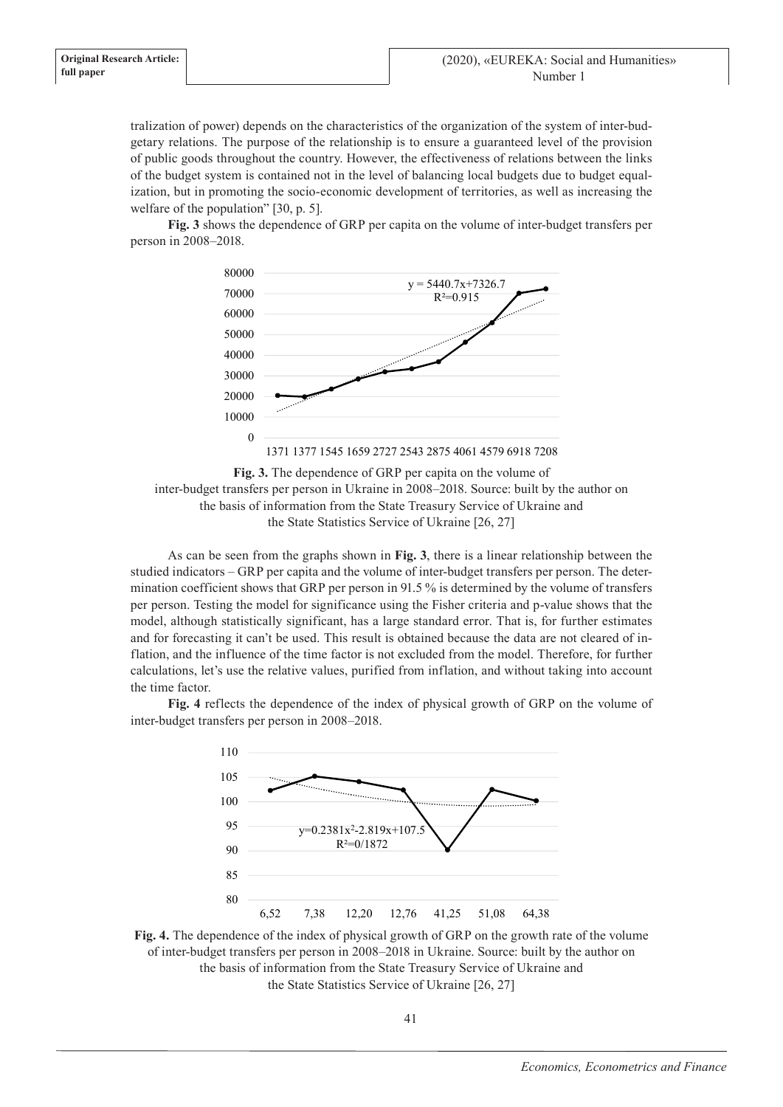tralization of power) depends on the characteristics of the organization of the system of inter-budgetary relations. The purpose of the relationship is to ensure a guaranteed level of the provision of public goods throughout the country. However, the effectiveness of relations between the links of the budget system is contained not in the level of balancing local budgets due to budget equalization, but in promoting the socio-economic development of territories, as well as increasing the welfare of the population" [30, p. 5].

**Fig. 3** shows the dependence of GRP per capita on the volume of inter-budget transfers per person in 2008–2018.





As can be seen from the graphs shown in **Fig. 3**, there is a linear relationship between the studied indicators – GRP per capita and the volume of inter-budget transfers per person. The determination coefficient shows that GRP per person in 91.5 % is determined by the volume of transfers per person. Testing the model for significance using the Fisher criteria and p-value shows that the model, although statistically significant, has a large standard error. That is, for further estimates and for forecasting it can't be used. This result is obtained because the data are not cleared of inflation, and the influence of the time factor is not excluded from the model. Therefore, for further calculations, let's use the relative values, purified from inflation, and without taking into account the time factor.

**Fig. 4** reflects the dependence of the index of physical growth of GRP on the volume of inter-budget transfers per person in 2008–2018.



**Fig. 4.** The dependence of the index of physical growth of GRP on the growth rate of the volume of inter-budget transfers per person in 2008–2018 in Ukraine. Source: built by the author on the basis of information from the State Treasury Service of Ukraine and the State Statistics Service of Ukraine [26, 27]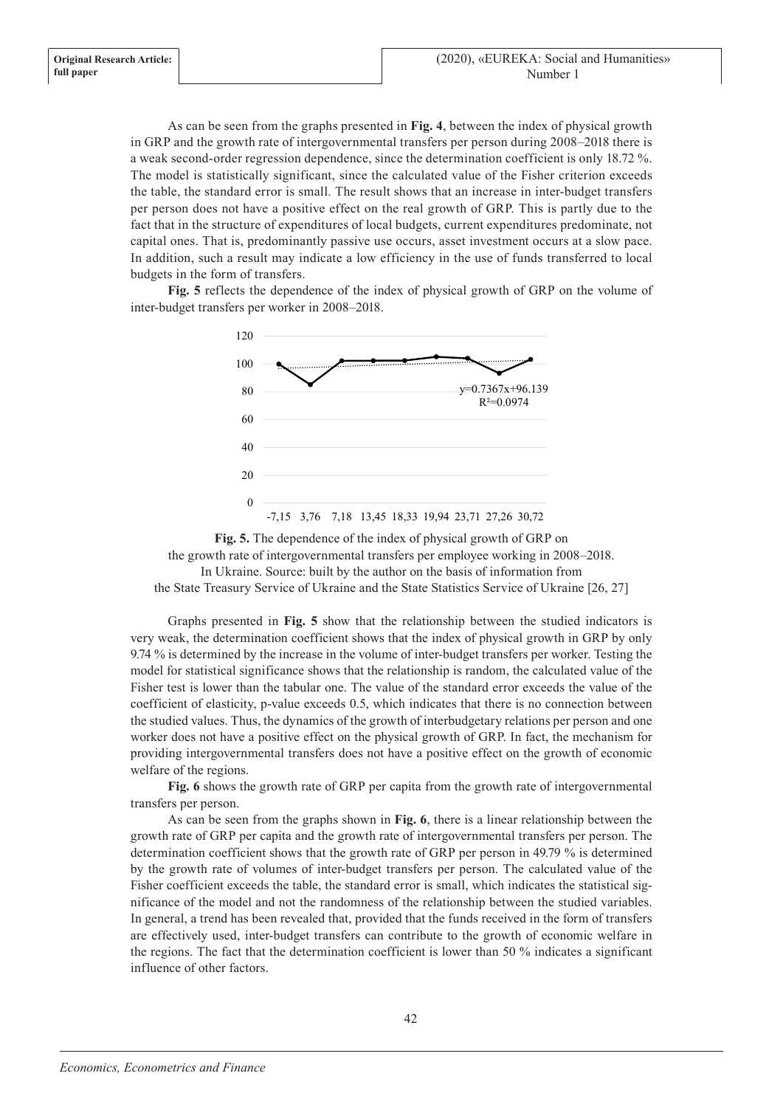As can be seen from the graphs presented in **Fig. 4**, between the index of physical growth in GRP and the growth rate of intergovernmental transfers per person during 2008–2018 there is a weak second-order regression dependence, since the determination coefficient is only 18.72 %. The model is statistically significant, since the calculated value of the Fisher criterion exceeds the table, the standard error is small. The result shows that an increase in inter-budget transfers per person does not have a positive effect on the real growth of GRP. This is partly due to the fact that in the structure of expenditures of local budgets, current expenditures predominate, not capital ones. That is, predominantly passive use occurs, asset investment occurs at a slow pace. In addition, such a result may indicate a low efficiency in the use of funds transferred to local budgets in the form of transfers.

**Fig. 5** reflects the dependence of the index of physical growth of GRP on the volume of inter-budget transfers per worker in 2008–2018.





Graphs presented in **Fig. 5** show that the relationship between the studied indicators is very weak, the determination coefficient shows that the index of physical growth in GRP by only 9.74 % is determined by the increase in the volume of inter-budget transfers per worker. Testing the model for statistical significance shows that the relationship is random, the calculated value of the Fisher test is lower than the tabular one. The value of the standard error exceeds the value of the coefficient of elasticity, p-value exceeds 0.5, which indicates that there is no connection between the studied values. Thus, the dynamics of the growth of interbudgetary relations per person and one worker does not have a positive effect on the physical growth of GRP. In fact, the mechanism for providing intergovernmental transfers does not have a positive effect on the growth of economic welfare of the regions.

**Fig. 6** shows the growth rate of GRP per capita from the growth rate of intergovernmental transfers per person.

As can be seen from the graphs shown in **Fig. 6**, there is a linear relationship between the growth rate of GRP per capita and the growth rate of intergovernmental transfers per person. The determination coefficient shows that the growth rate of GRP per person in 49.79 % is determined by the growth rate of volumes of inter-budget transfers per person. The calculated value of the Fisher coefficient exceeds the table, the standard error is small, which indicates the statistical significance of the model and not the randomness of the relationship between the studied variables. In general, a trend has been revealed that, provided that the funds received in the form of transfers are effectively used, inter-budget transfers can contribute to the growth of economic welfare in the regions. The fact that the determination coefficient is lower than 50 % indicates a significant influence of other factors.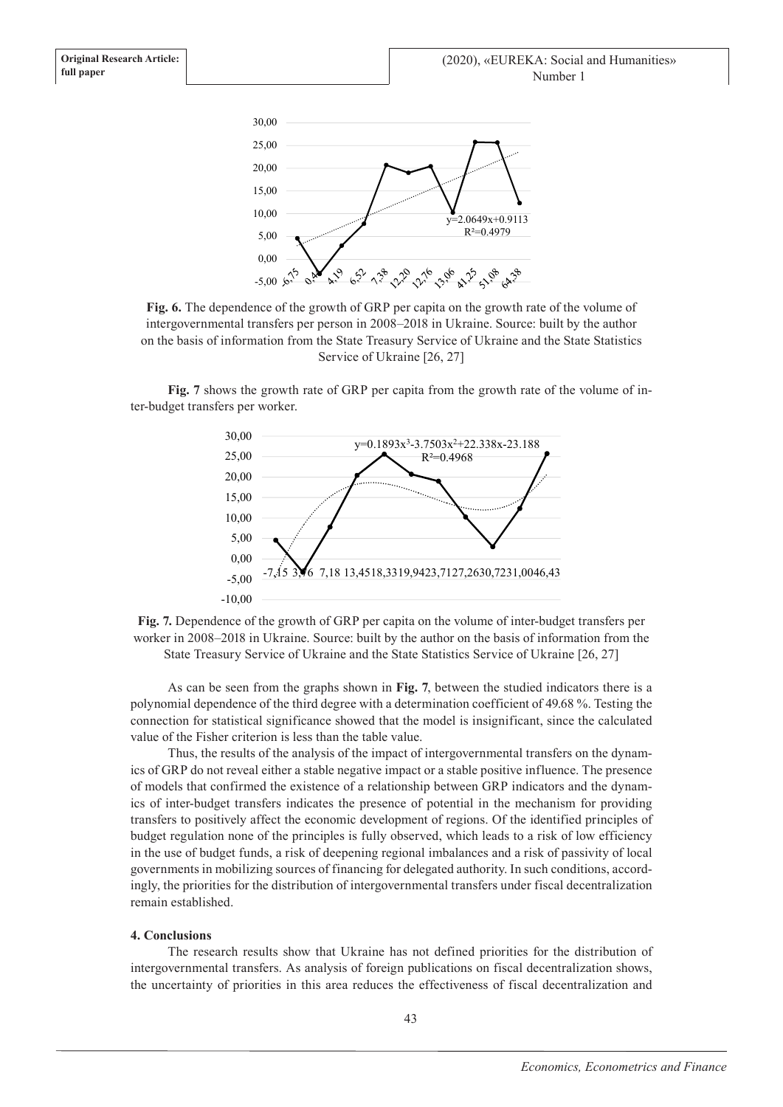



**Fig. 7** shows the growth rate of GRP per capita from the growth rate of the volume of inter-budget transfers per worker.





As can be seen from the graphs shown in **Fig. 7**, between the studied indicators there is a polynomial dependence of the third degree with a determination coefficient of 49.68 %. Testing the connection for statistical significance showed that the model is insignificant, since the calculated value of the Fisher criterion is less than the table value.

Thus, the results of the analysis of the impact of intergovernmental transfers on the dynamics of GRP do not reveal either a stable negative impact or a stable positive influence. The presence of models that confirmed the existence of a relationship between GRP indicators and the dynamics of inter-budget transfers indicates the presence of potential in the mechanism for providing transfers to positively affect the economic development of regions. Of the identified principles of budget regulation none of the principles is fully observed, which leads to a risk of low efficiency in the use of budget funds, a risk of deepening regional imbalances and a risk of passivity of local governments in mobilizing sources of financing for delegated authority. In such conditions, accordingly, the priorities for the distribution of intergovernmental transfers under fiscal decentralization remain established.

# **4. Conclusions**

The research results show that Ukraine has not defined priorities for the distribution of intergovernmental transfers. As analysis of foreign publications on fiscal decentralization shows, the uncertainty of priorities in this area reduces the effectiveness of fiscal decentralization and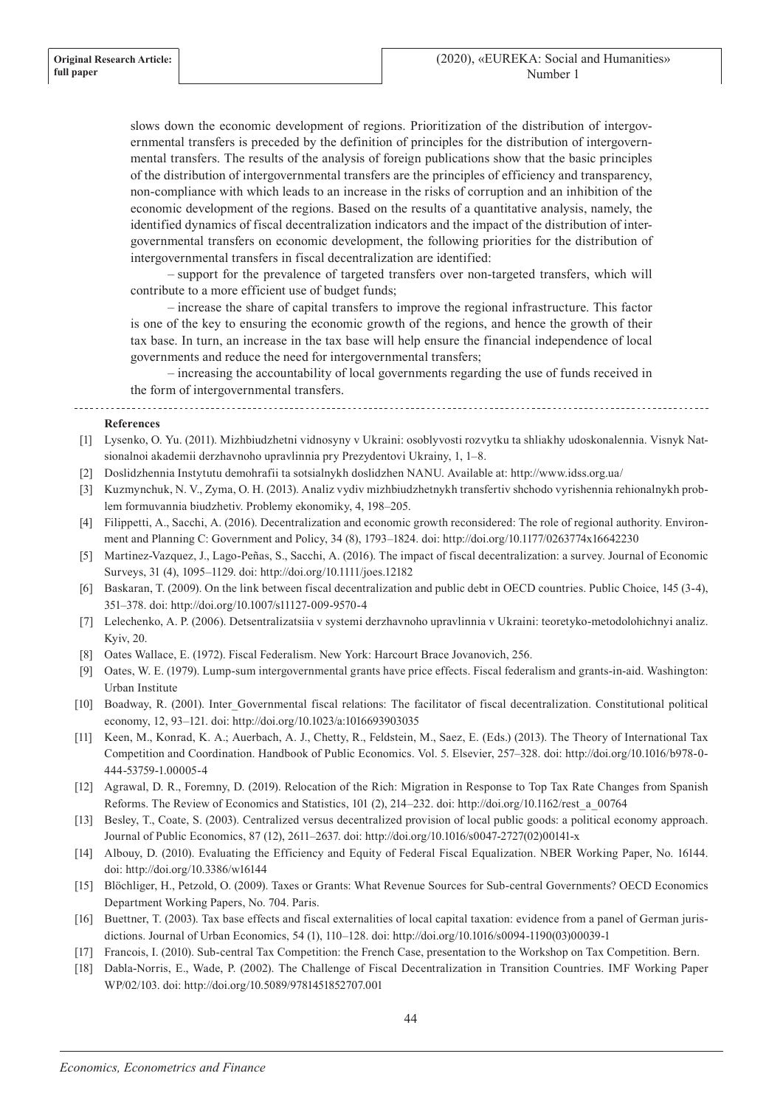slows down the economic development of regions. Prioritization of the distribution of intergovernmental transfers is preceded by the definition of principles for the distribution of intergovernmental transfers. The results of the analysis of foreign publications show that the basic principles of the distribution of intergovernmental transfers are the principles of efficiency and transparency, non-compliance with which leads to an increase in the risks of corruption and an inhibition of the economic development of the regions. Based on the results of a quantitative analysis, namely, the identified dynamics of fiscal decentralization indicators and the impact of the distribution of intergovernmental transfers on economic development, the following priorities for the distribution of intergovernmental transfers in fiscal decentralization are identified:

– support for the prevalence of targeted transfers over non-targeted transfers, which will contribute to a more efficient use of budget funds;

– increase the share of capital transfers to improve the regional infrastructure. This factor is one of the key to ensuring the economic growth of the regions, and hence the growth of their tax base. In turn, an increase in the tax base will help ensure the financial independence of local governments and reduce the need for intergovernmental transfers;

– increasing the accountability of local governments regarding the use of funds received in the form of intergovernmental transfers.

#### **References**

- [1] Lysenko, O. Yu. (2011). Mizhbiudzhetni vidnosyny v Ukraini: osoblyvosti rozvytku ta shliakhy udoskonalennia. Visnyk Natsionalnoi akademii derzhavnoho upravlinnia pry Prezydentovi Ukrainy, 1, 1–8.
- [2] Doslidzhennia Instytutu demohrafii ta sotsialnykh doslidzhen NANU. Available at: http://www.idss.org.ua/
- [3] Kuzmynchuk, N. V., Zyma, O. H. (2013). Analiz vydiv mizhbiudzhetnykh transfertiv shchodo vyrishennia rehionalnykh problem formuvannia biudzhetiv. Problemy ekonomiky, 4, 198–205.
- [4] Filippetti, A., Sacchi, A. (2016). Decentralization and economic growth reconsidered: The role of regional authority. Environment and Planning C: Government and Policy, 34 (8), 1793–1824. doi: http://doi.org/10.1177/0263774x16642230
- [5] Martinez-Vazquez, J., Lago-Peñas, S., Sacchi, A. (2016). The impact of fiscal decentralization: a survey. Journal of Economic Surveys, 31 (4), 1095–1129. doi: http://doi.org/10.1111/joes.12182
- [6] Baskaran, T. (2009). On the link between fiscal decentralization and public debt in OECD countries. Public Choice, 145 (3-4), 351–378. doi: http://doi.org/10.1007/s11127-009-9570-4
- [7] Lelechenko, A. P. (2006). Detsentralizatsiia v systemi derzhavnoho upravlinnia v Ukraini: teoretyko-metodolohichnyi analiz. Kyiv, 20.
- [8] Oates Wallace, E. (1972). Fiscal Federalism. New York: Harcourt Brace Jovanovich, 256.
- [9] Oates, W. E. (1979). Lump-sum intergovernmental grants have price effects. Fiscal federalism and grants-in-aid. Washington: Urban Institute
- [10] Boadway, R. (2001). Inter Governmental fiscal relations: The facilitator of fiscal decentralization. Constitutional political economy, 12, 93–121. doi: http://doi.org/10.1023/a:1016693903035
- [11] Keen, M., Konrad, K. A.; Auerbach, A. J., Chetty, R., Feldstein, M., Saez, E. (Eds.) (2013). The Theory of International Tax Competition and Coordination. Handbook of Public Economics. Vol. 5. Elsevier, 257–328. doi: http://doi.org/10.1016/b978-0- 444-53759-1.00005-4
- [12] Agrawal, D. R., Foremny, D. (2019). Relocation of the Rich: Migration in Response to Top Tax Rate Changes from Spanish Reforms. The Review of Economics and Statistics, 101 (2), 214–232. doi: http://doi.org/10.1162/rest\_a\_00764
- [13] Besley, T., Coate, S. (2003). Centralized versus decentralized provision of local public goods: a political economy approach. Journal of Public Economics, 87 (12), 2611–2637. doi: http://doi.org/10.1016/s0047-2727(02)00141-x
- [14] Albouy, D. (2010). Evaluating the Efficiency and Equity of Federal Fiscal Equalization. NBER Working Paper, No. 16144. doi: http://doi.org/10.3386/w16144
- [15] Blöchliger, H., Petzold, O. (2009). Taxes or Grants: What Revenue Sources for Sub-central Governments? OECD Economics Department Working Papers, No. 704. Paris.
- [16] Buettner, T. (2003). Tax base effects and fiscal externalities of local capital taxation: evidence from a panel of German jurisdictions. Journal of Urban Economics, 54 (1), 110–128. doi: http://doi.org/10.1016/s0094-1190(03)00039-1
- [17] Francois, I. (2010). Sub-central Tax Competition: the French Case, presentation to the Workshop on Tax Competition. Bern.
- [18] Dabla-Norris, E., Wade, P. (2002). The Challenge of Fiscal Decentralization in Transition Countries. IMF Working Paper WP/02/103. doi: http://doi.org/10.5089/9781451852707.001